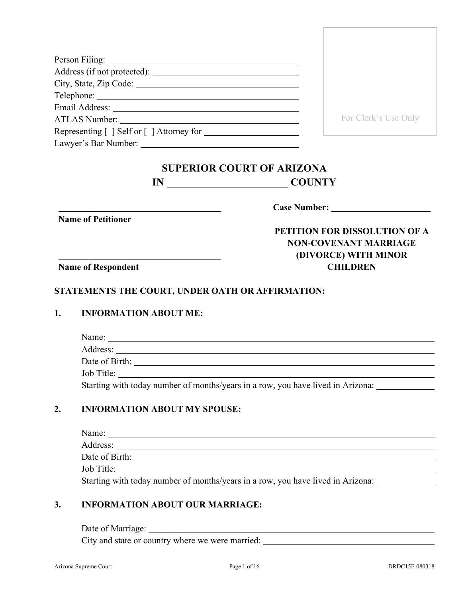| ATLAS Number:                             | For Clerk's Use Only |
|-------------------------------------------|----------------------|
| Representing [ ] Self or [ ] Attorney for |                      |
| Lawyer's Bar Number:                      |                      |

# **SUPERIOR COURT OF ARIZONA IN** COUNTY

**Name of Petitioner**

**Case Number:** 

# **PETITION FOR DISSOLUTION OF A NON-COVENANT MARRIAGE (DIVORCE) WITH MINOR CHILDREN**

**Name of Respondent**

#### **STATEMENTS THE COURT, UNDER OATH OR AFFIRMATION:**

#### **1. INFORMATION ABOUT ME:**

| Name:                                                                           |  |
|---------------------------------------------------------------------------------|--|
|                                                                                 |  |
| Date of Birth:                                                                  |  |
| Job Title:                                                                      |  |
| Starting with today number of months/years in a row, you have lived in Arizona: |  |

### **2. INFORMATION ABOUT MY SPOUSE:**

| Name:          |  |
|----------------|--|
| Address:       |  |
| Date of Birth: |  |
| Job Title:     |  |

Starting with today number of months/years in a row, you have lived in Arizona:

#### **3. INFORMATION ABOUT OUR MARRIAGE:**

Date of Marriage:

City and state or country where we were married: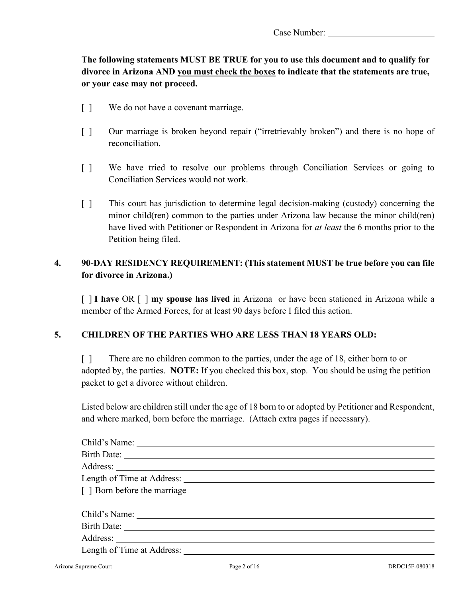# **The following statements MUST BE TRUE for you to use this document and to qualify for divorce in Arizona AND you must check the boxes to indicate that the statements are true, or your case may not proceed.**

- [ ] We do not have a covenant marriage.
- [ ] Our marriage is broken beyond repair ("irretrievably broken") and there is no hope of reconciliation.
- [ ] We have tried to resolve our problems through Conciliation Services or going to Conciliation Services would not work.
- [ ] This court has jurisdiction to determine legal decision-making (custody) concerning the minor child(ren) common to the parties under Arizona law because the minor child(ren) have lived with Petitioner or Respondent in Arizona for *at least* the 6 months prior to the Petition being filed.

## **4. 90-DAY RESIDENCY REQUIREMENT: (This statement MUST be true before you can file for divorce in Arizona.)**

[ ] **I have** OR [ ] **my spouse has lived** in Arizona or have been stationed in Arizona while a member of the Armed Forces, for at least 90 days before I filed this action.

### **5. CHILDREN OF THE PARTIES WHO ARE LESS THAN 18 YEARS OLD:**

[] There are no children common to the parties, under the age of 18, either born to or adopted by, the parties. **NOTE:** If you checked this box, stop. You should be using the petition packet to get a divorce without children.

Listed below are children still under the age of 18 born to or adopted by Petitioner and Respondent, and where marked, born before the marriage. (Attach extra pages if necessary).

| [ ] Born before the marriage |  |
|------------------------------|--|
|                              |  |
|                              |  |
|                              |  |
|                              |  |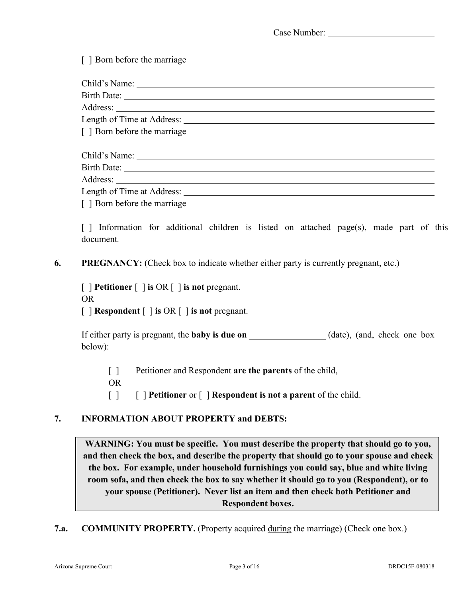[ ] Born before the marriage

| [ ] Born before the marriage |  |
|------------------------------|--|
|                              |  |
|                              |  |
|                              |  |
| Length of Time at Address:   |  |

[ ] Born before the marriage

[] Information for additional children is listed on attached page(s), made part of this document*.*

**6. PREGNANCY:** (Check box to indicate whether either party is currently pregnant, etc.)

[ ] **Petitioner** [ ] **is** OR [ ] **is not** pregnant. OR [ ] **Respondent** [ ] **is** OR [ ] **is not** pregnant.

If either party is pregnant, the **baby is due on** (date), (and, check one box below):

- [ ] Petitioner and Respondent **are the parents** of the child,
- OR
- [ ] [ ] **Petitioner** or [ ] **Respondent is not a parent** of the child.

### **7. INFORMATION ABOUT PROPERTY and DEBTS:**

**WARNING: You must be specific. You must describe the property that should go to you, and then check the box, and describe the property that should go to your spouse and check the box. For example, under household furnishings you could say, blue and white living room sofa, and then check the box to say whether it should go to you (Respondent), or to your spouse (Petitioner). Never list an item and then check both Petitioner and Respondent boxes.**

**7.a. COMMUNITY PROPERTY.** (Property acquired during the marriage) (Check one box.)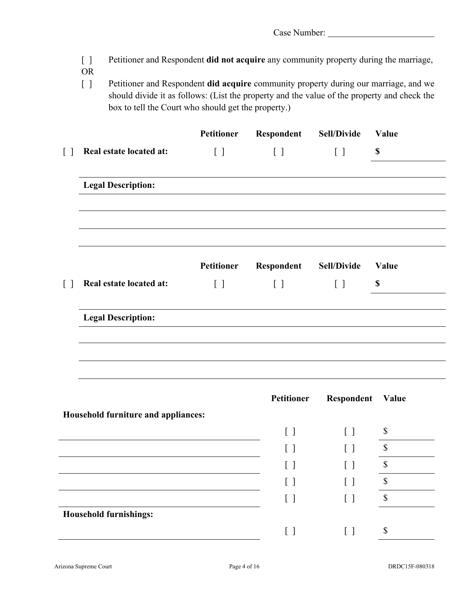- [ ] Petitioner and Respondent **did not acquire** any community property during the marriage,
- OR
- [ ] Petitioner and Respondent **did acquire** community property during our marriage, and we should divide it as follows: (List the property and the value of the property and check the box to tell the Court who should get the property.)

|                   |                                     | Petitioner | Respondent                        | <b>Sell/Divide</b>                            | Value       |
|-------------------|-------------------------------------|------------|-----------------------------------|-----------------------------------------------|-------------|
| $\lceil$ $\rceil$ | Real estate located at:             | $[ \ ]$    | $[ \ ]$                           | $[ \ ]$                                       | $\mathbb S$ |
|                   | <b>Legal Description:</b>           |            |                                   |                                               |             |
|                   |                                     | Petitioner | Respondent                        | <b>Sell/Divide</b>                            | Value       |
| $\lceil$ $\rceil$ | Real estate located at:             | $[\ ]$     | $[ \ ]$                           | $[ \ ]$                                       | $\mathbb S$ |
|                   | <b>Legal Description:</b>           |            |                                   |                                               |             |
|                   |                                     |            |                                   |                                               |             |
|                   |                                     |            |                                   |                                               |             |
|                   |                                     |            | Petitioner                        | Respondent                                    | Value       |
|                   | Household furniture and appliances: |            |                                   |                                               |             |
|                   |                                     |            | $\begin{bmatrix} 1 \end{bmatrix}$ | $\begin{bmatrix} 1 \end{bmatrix}$             | \$          |
|                   |                                     |            | $\lceil$ 1                        | $\left[ \begin{array}{c} \end{array} \right]$ | \$          |
|                   |                                     |            | [ ]                               | $[ \ \ ]$                                     | $\triangle$ |
|                   |                                     |            | $[\ ]$                            | $[ \ \ ]$                                     | $\$$        |
|                   |                                     |            | $[ \ ]$                           | $[ \ ]$                                       | $\$$        |
|                   | <b>Household furnishings:</b>       |            |                                   |                                               |             |
|                   |                                     |            | $[\ ]$                            | $[ \ ]$                                       | \$          |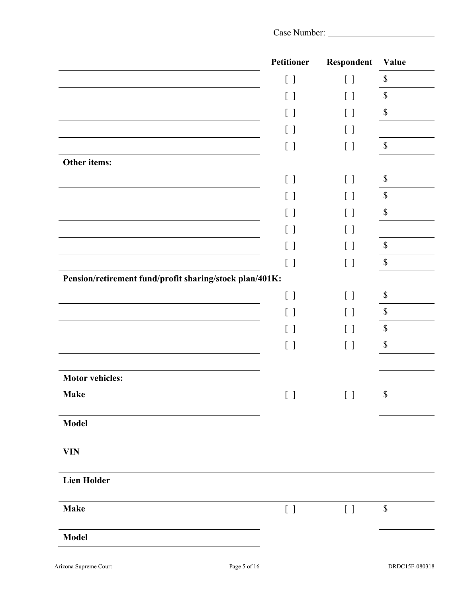|                                                         | Petitioner                                  | Respondent                                     | Value                     |
|---------------------------------------------------------|---------------------------------------------|------------------------------------------------|---------------------------|
|                                                         | $[\ ]$                                      | $\begin{bmatrix} \end{bmatrix}$                | $\mathbb S$               |
|                                                         | $[\ ]$                                      | $\left[ \begin{array}{c} \end{array} \right]$  | $\mathbb{S}$              |
|                                                         | $[\ ]$                                      | $[\ ]$                                         | $\mathbb{S}$              |
|                                                         | $[\ ]$                                      | $[\ ]$                                         |                           |
|                                                         | $[ \ ]$                                     | $[\phantom{-}]$                                | $\mathbb S$               |
| Other items:                                            |                                             |                                                |                           |
|                                                         | $[\ ]$                                      | $[\ ]$                                         | \$                        |
|                                                         | $[\ ]$                                      | $\begin{bmatrix} 1 \end{bmatrix}$              | $\boldsymbol{\mathsf{S}}$ |
|                                                         | $\begin{bmatrix} 1 \end{bmatrix}$           | $\begin{bmatrix} 1 \end{bmatrix}$              | $\boldsymbol{\mathsf{S}}$ |
|                                                         | $[\ ]$                                      | [ ]                                            |                           |
|                                                         | $[ \ ]$                                     | $[ \ ]$                                        | $\mathbb S$               |
|                                                         | $[\ ]$                                      | $[ \ ]$                                        | $\mathbb S$               |
| Pension/retirement fund/profit sharing/stock plan/401K: |                                             |                                                |                           |
|                                                         | $[ \ ]$                                     | $[ \ ]$                                        | $\boldsymbol{\mathsf{S}}$ |
|                                                         | $[\ ]$                                      | $\begin{bmatrix} 1 \end{bmatrix}$              | $\mathbb S$               |
|                                                         | $[\ ]$                                      | $[\ ]$                                         | $\mathbb S$               |
|                                                         | $[ \ ]$                                     | $[ \ ]$                                        | $\mathcal{S}$             |
|                                                         |                                             |                                                |                           |
| <b>Motor vehicles:</b>                                  |                                             |                                                |                           |
| <b>Make</b>                                             | $\left[\begin{array}{c} \end{array}\right]$ | $\begin{bmatrix} 1 & 1 \\ 1 & 1 \end{bmatrix}$ | $\mathbb S$               |
|                                                         |                                             |                                                |                           |
| <b>Model</b>                                            |                                             |                                                |                           |
| <b>VIN</b>                                              |                                             |                                                |                           |
| <b>Lien Holder</b>                                      |                                             |                                                |                           |
| <b>Make</b>                                             | $[\quad]$                                   | $[ \ \ ]$                                      | $\boldsymbol{\$}$         |
| <b>Model</b>                                            |                                             |                                                |                           |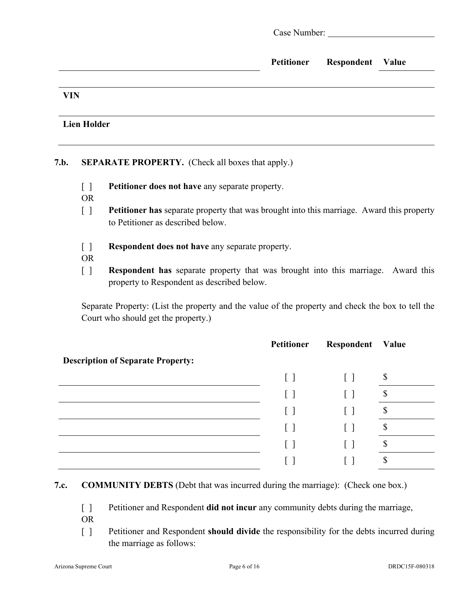|                    | Case Number: New York Case Number: |                         |  |
|--------------------|------------------------------------|-------------------------|--|
|                    | Petitioner                         | <b>Respondent Value</b> |  |
| <b>VIN</b>         |                                    |                         |  |
| <b>Lien Holder</b> |                                    |                         |  |

## **7.b. SEPARATE PROPERTY.** (Check all boxes that apply.)

- [ ] **Petitioner does not have** any separate property.
- OR
- [ ] **Petitioner has** separate property that was brought into this marriage. Award this property to Petitioner as described below.
- [ ] **Respondent does not have** any separate property.
- OR
- [ ] **Respondent has** separate property that was brought into this marriage. Award this property to Respondent as described below.

Separate Property: (List the property and the value of the property and check the box to tell the Court who should get the property.)

|                                          | Petitioner | Respondent   | Value |
|------------------------------------------|------------|--------------|-------|
| <b>Description of Separate Property:</b> |            |              |       |
|                                          | $\Box$     | $\mathbf{I}$ | Φ     |
|                                          | $\perp$    |              |       |
|                                          |            |              |       |
|                                          |            |              |       |
|                                          |            |              |       |
|                                          |            |              |       |

### **7.c. COMMUNITY DEBTS** (Debt that was incurred during the marriage): (Check one box.)

- [ ] Petitioner and Respondent **did not incur** any community debts during the marriage,
- OR
- [ ] Petitioner and Respondent **should divide** the responsibility for the debts incurred during the marriage as follows: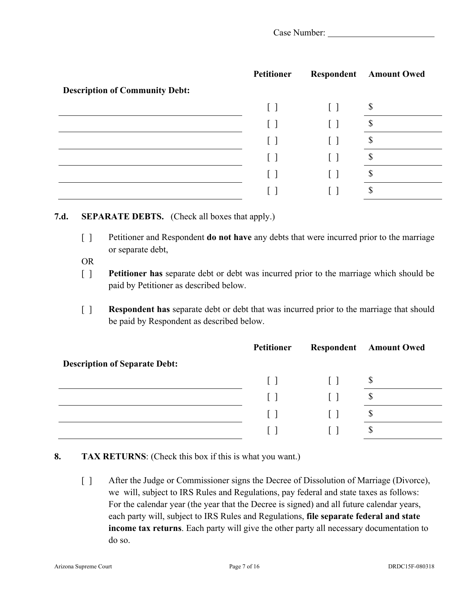|                                       | Petitioner   |              | <b>Respondent</b> Amount Owed |
|---------------------------------------|--------------|--------------|-------------------------------|
| <b>Description of Community Debt:</b> |              |              |                               |
|                                       | $\mathsf{L}$ | $\mathbf{I}$ | D                             |
|                                       |              |              | ╓                             |
|                                       |              |              | \$                            |
|                                       |              |              | S                             |
|                                       |              |              | ¢<br>D                        |
|                                       |              |              | ۰D                            |

#### **7.d. SEPARATE DEBTS.** (Check all boxes that apply.)

- [ ] Petitioner and Respondent **do not have** any debts that were incurred prior to the marriage or separate debt,
- OR
- [ ] **Petitioner has** separate debt or debt was incurred prior to the marriage which should be paid by Petitioner as described below.
- [ ] **Respondent has** separate debt or debt that was incurred prior to the marriage that should be paid by Respondent as described below.

|                                      | <b>Petitioner</b> |         | <b>Respondent</b> Amount Owed |
|--------------------------------------|-------------------|---------|-------------------------------|
| <b>Description of Separate Debt:</b> |                   |         |                               |
|                                      | $\Box$            | $\perp$ | \$                            |
|                                      | $\mathbf{1}$      |         | Φ                             |
|                                      | $\lceil \rceil$   |         | Φ                             |
|                                      |                   |         | Φ                             |

### **8. TAX RETURNS**: (Check this box if this is what you want.)

[ ] After the Judge or Commissioner signs the Decree of Dissolution of Marriage (Divorce), we will, subject to IRS Rules and Regulations, pay federal and state taxes as follows: For the calendar year (the year that the Decree is signed) and all future calendar years, each party will, subject to IRS Rules and Regulations, **file separate federal and state income tax returns**. Each party will give the other party all necessary documentation to do so.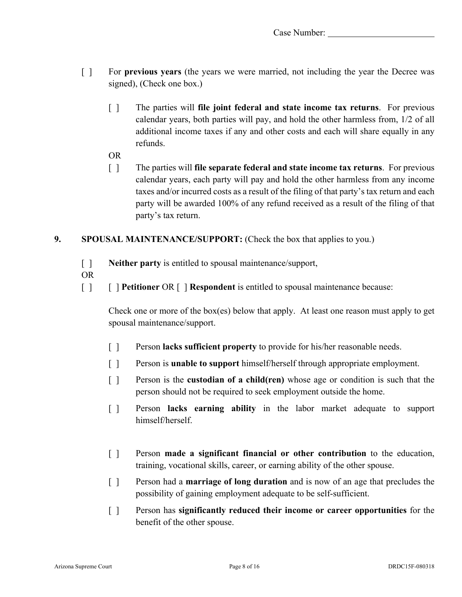- [ ] For **previous years** (the years we were married, not including the year the Decree was signed), (Check one box.)
	- [ ] The parties will **file joint federal and state income tax returns**. For previous calendar years, both parties will pay, and hold the other harmless from, 1/2 of all additional income taxes if any and other costs and each will share equally in any refunds.
	- OR
	- [ ] The parties will **file separate federal and state income tax returns**. For previous calendar years, each party will pay and hold the other harmless from any income taxes and/or incurred costs as a result of the filing of that party's tax return and each party will be awarded 100% of any refund received as a result of the filing of that party's tax return.

### **9. SPOUSAL MAINTENANCE/SUPPORT:** (Check the box that applies to you.)

- [ ] **Neither party** is entitled to spousal maintenance/support,
- OR
- [ ] [ ] **Petitioner** OR [ ] **Respondent** is entitled to spousal maintenance because:

Check one or more of the box(es) below that apply. At least one reason must apply to get spousal maintenance/support.

- [ ] Person **lacks sufficient property** to provide for his/her reasonable needs.
- [ ] Person is **unable to support** himself/herself through appropriate employment.
- [ ] Person is the **custodian of a child(ren)** whose age or condition is such that the person should not be required to seek employment outside the home.
- [ ] Person **lacks earning ability** in the labor market adequate to support himself/herself.
- [ ] Person **made a significant financial or other contribution** to the education, training, vocational skills, career, or earning ability of the other spouse.
- [ ] Person had a **marriage of long duration** and is now of an age that precludes the possibility of gaining employment adequate to be self-sufficient.
- [ ] Person has **significantly reduced their income or career opportunities** for the benefit of the other spouse.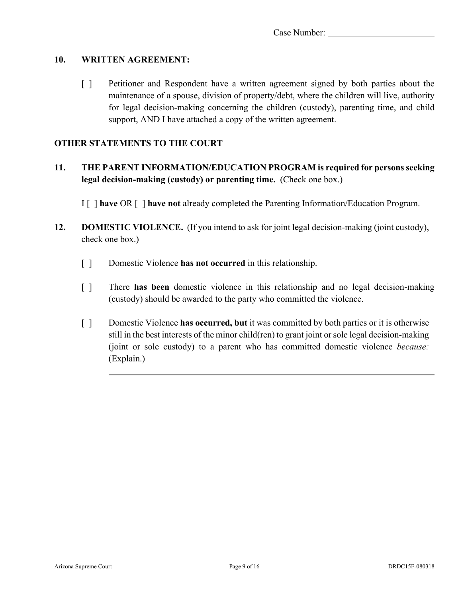#### **10. WRITTEN AGREEMENT:**

[ ] Petitioner and Respondent have a written agreement signed by both parties about the maintenance of a spouse, division of property/debt, where the children will live, authority for legal decision-making concerning the children (custody), parenting time, and child support, AND I have attached a copy of the written agreement.

#### **OTHER STATEMENTS TO THE COURT**

## **11. THE PARENT INFORMATION/EDUCATION PROGRAM is required for persons seeking legal decision-making (custody) or parenting time.** (Check one box.)

I [ ] **have** OR [ ] **have not** already completed the Parenting Information/Education Program.

- **12. DOMESTIC VIOLENCE.** (If you intend to ask for joint legal decision-making (joint custody), check one box.)
	- [ ] Domestic Violence **has not occurred** in this relationship.
	- [ ] There **has been** domestic violence in this relationship and no legal decision-making (custody) should be awarded to the party who committed the violence.
	- [ ] Domestic Violence **has occurred, but** it was committed by both parties or it is otherwise still in the best interests of the minor child(ren) to grant joint or sole legal decision-making (joint or sole custody) to a parent who has committed domestic violence *because:* (Explain.)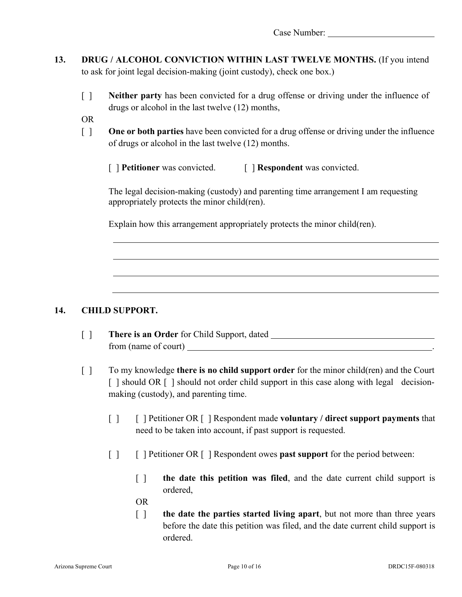- **13. DRUG / ALCOHOL CONVICTION WITHIN LAST TWELVE MONTHS.** (If you intend to ask for joint legal decision-making (joint custody), check one box.)
	- [ ] **Neither party** has been convicted for a drug offense or driving under the influence of drugs or alcohol in the last twelve (12) months,
	- OR
	- [ ] **One or both parties** have been convicted for a drug offense or driving under the influence of drugs or alcohol in the last twelve (12) months.
		- [ **] Petitioner** was convicted. [ **] Respondent** was convicted.

The legal decision-making (custody) and parenting time arrangement I am requesting appropriately protects the minor child(ren).

Explain how this arrangement appropriately protects the minor child(ren).

### **14. CHILD SUPPORT.**

- [ ] **There is an Order** for Child Support, dated from (name of court) <u>second</u>
- [ ] To my knowledge **there is no child support order** for the minor child(ren) and the Court [ ] should OR [ ] should not order child support in this case along with legal decisionmaking (custody), and parenting time.
	- [ ] [ ] Petitioner OR [ ] Respondent made **voluntary / direct support payments** that need to be taken into account, if past support is requested.
	- [ ] [ ] Petitioner OR [ ] Respondent owes **past support** for the period between:
		- [ ] **the date this petition was filed**, and the date current child support is ordered,
		- OR
		- [ ] **the date the parties started living apart**, but not more than three years before the date this petition was filed, and the date current child support is ordered.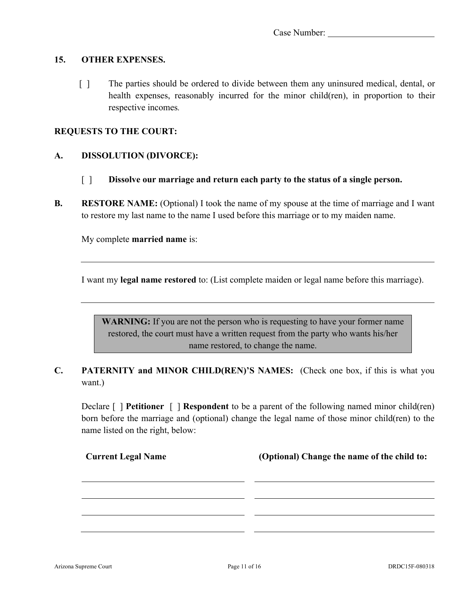#### **15. OTHER EXPENSES.**

 [ ] The parties should be ordered to divide between them any uninsured medical, dental, or health expenses, reasonably incurred for the minor child(ren), in proportion to their respective incomes*.*

#### **REQUESTS TO THE COURT:**

#### **A. DISSOLUTION (DIVORCE):**

- [ ] **Dissolve our marriage and return each party to the status of a single person.**
- **B. RESTORE NAME:** (Optional) I took the name of my spouse at the time of marriage and I want to restore my last name to the name I used before this marriage or to my maiden name.

My complete **married name** is:

I want my **legal name restored** to: (List complete maiden or legal name before this marriage).

**WARNING:** If you are not the person who is requesting to have your former name restored, the court must have a written request from the party who wants his/her name restored, to change the name.

## **C. PATERNITY and MINOR CHILD(REN)'S NAMES:** (Check one box, if this is what you want.)

Declare [ ] **Petitioner** [ ] **Respondent** to be a parent of the following named minor child(ren) born before the marriage and (optional) change the legal name of those minor child(ren) to the name listed on the right, below:

| <b>Current Legal Name</b> | (Optional) Change the name of the child to: |
|---------------------------|---------------------------------------------|
|                           |                                             |
|                           |                                             |
|                           |                                             |
|                           |                                             |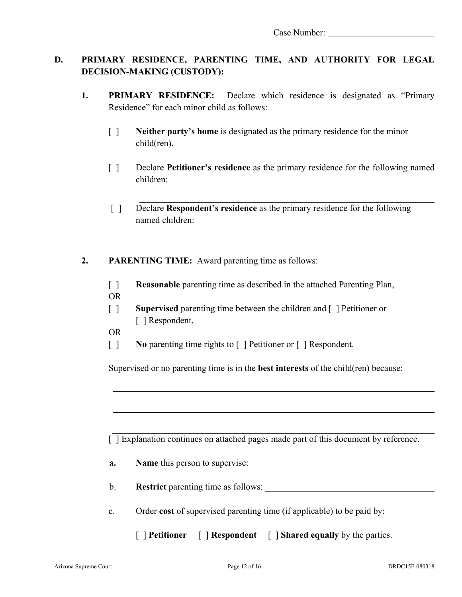## **D. PRIMARY RESIDENCE, PARENTING TIME, AND AUTHORITY FOR LEGAL DECISION-MAKING (CUSTODY):**

- **1. PRIMARY RESIDENCE:** Declare which residence is designated as "Primary Residence" for each minor child as follows:
	- [ ] **Neither party's home** is designated as the primary residence for the minor child(ren).
	- [ ] Declare **Petitioner's residence** as the primary residence for the following named children:
	- [ ] Declare **Respondent's residence** as the primary residence for the following named children:
- **2. PARENTING TIME:** Award parenting time as follows:
	- [ ] **Reasonable** parenting time as described in the attached Parenting Plan, OR
	- [ ] **Supervised** parenting time between the children and [ ] Petitioner or [ ] Respondent,
	- OR
	- [ ] **No** parenting time rights to [ ] Petitioner or [ ] Respondent.

Supervised or no parenting time is in the **best interests** of the child(ren) because:

[ ] Explanation continues on attached pages made part of this document by reference.

- **a. Name** this person to supervise:
- b. **Restrict** parenting time as follows:
- c. Order **cost** of supervised parenting time (if applicable) to be paid by:
	- [ ] **Petitioner** [ ] **Respondent** [ ] **Shared equally** by the parties.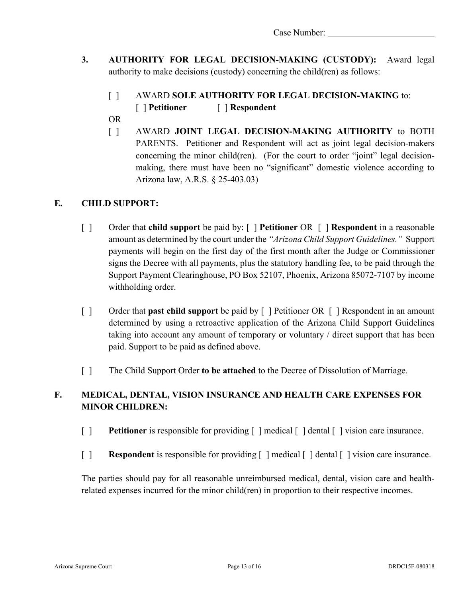- **3. AUTHORITY FOR LEGAL DECISION-MAKING (CUSTODY):** Award legal authority to make decisions (custody) concerning the child(ren) as follows:
	- [ ] AWARD **SOLE AUTHORITY FOR LEGAL DECISION-MAKING** to:
		- [ ] **Petitioner** [ ] **Respondent**
	- OR
	- [ ] AWARD **JOINT LEGAL DECISION-MAKING AUTHORITY** to BOTH PARENTS. Petitioner and Respondent will act as joint legal decision-makers concerning the minor child(ren). (For the court to order "joint" legal decisionmaking, there must have been no "significant" domestic violence according to Arizona law, A.R.S. § 25-403.03)

## **E. CHILD SUPPORT:**

- [ ] Order that **child support** be paid by: [ ] **Petitioner** OR [ ] **Respondent** in a reasonable amount as determined by the court under the *"Arizona Child Support Guidelines."* Support payments will begin on the first day of the first month after the Judge or Commissioner signs the Decree with all payments, plus the statutory handling fee, to be paid through the Support Payment Clearinghouse, PO Box 52107, Phoenix, Arizona 85072-7107 by income withholding order.
- [ ] Order that **past child support** be paid by [ ] Petitioner OR [ ] Respondent in an amount determined by using a retroactive application of the Arizona Child Support Guidelines taking into account any amount of temporary or voluntary / direct support that has been paid. Support to be paid as defined above.
- [ ] The Child Support Order **to be attached** to the Decree of Dissolution of Marriage.

# **F. MEDICAL, DENTAL, VISION INSURANCE AND HEALTH CARE EXPENSES FOR MINOR CHILDREN:**

- [ ] **Petitioner** is responsible for providing  $\lceil \cdot \rceil$  medical  $\lceil \cdot \rceil$  dental  $\lceil \cdot \rceil$  vision care insurance.
- [ ] **Respondent** is responsible for providing [ ] medical [ ] dental [ ] vision care insurance.

The parties should pay for all reasonable unreimbursed medical, dental, vision care and healthrelated expenses incurred for the minor child(ren) in proportion to their respective incomes.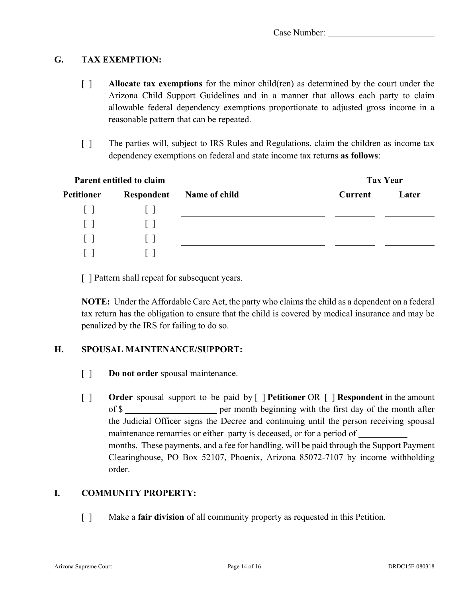### **G. TAX EXEMPTION:**

- [ ] **Allocate tax exemptions** for the minor child(ren) as determined by the court under the Arizona Child Support Guidelines and in a manner that allows each party to claim allowable federal dependency exemptions proportionate to adjusted gross income in a reasonable pattern that can be repeated.
- [ ] The parties will, subject to IRS Rules and Regulations, claim the children as income tax dependency exemptions on federal and state income tax returns **as follows**:

| Parent entitled to claim |            |                      | <b>Tax Year</b> |       |
|--------------------------|------------|----------------------|-----------------|-------|
| <b>Petitioner</b>        | Respondent | <b>Name of child</b> | <b>Current</b>  | Later |
| $\mathbf{1}$             |            |                      |                 |       |
| $\mathbf{I}$             |            |                      |                 |       |
| $\mathbf{L}$             |            |                      |                 |       |
|                          |            |                      |                 |       |

[ ] Pattern shall repeat for subsequent years.

**NOTE:** Under the Affordable Care Act, the party who claims the child as a dependent on a federal tax return has the obligation to ensure that the child is covered by medical insurance and may be penalized by the IRS for failing to do so.

### **H. SPOUSAL MAINTENANCE/SUPPORT:**

- [ ] **Do not order** spousal maintenance.
- [ ] **Order** spousal support to be paid by [ ] **Petitioner** OR [ ] **Respondent** in the amount of \$ the Judicial Officer signs the Decree and continuing until the person receiving spousal maintenance remarries or either party is deceased, or for a period of months. These payments, and a fee for handling, will be paid through the Support Payment Clearinghouse, PO Box 52107, Phoenix, Arizona 85072-7107 by income withholding order.

### **I. COMMUNITY PROPERTY:**

[ ] Make a **fair division** of all community property as requested in this Petition.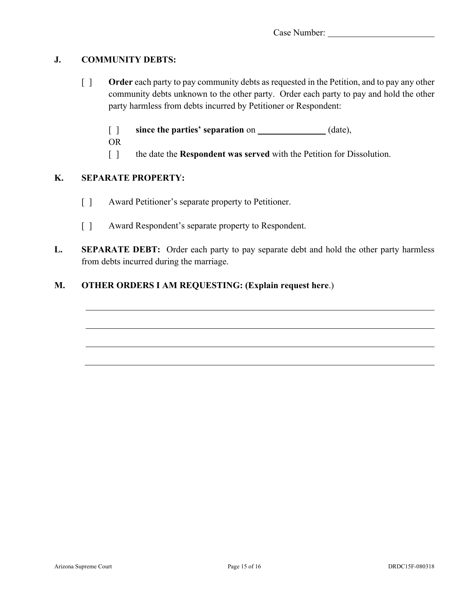### **J. COMMUNITY DEBTS:**

- [ ] **Order** each party to pay community debts as requested in the Petition, and to pay any other community debts unknown to the other party. Order each party to pay and hold the other party harmless from debts incurred by Petitioner or Respondent:
	- [ ] **since the parties' separation** on (date),
	- OR
	- [ ] the date the **Respondent was served** with the Petition for Dissolution.

### **K. SEPARATE PROPERTY:**

- [ ] Award Petitioner's separate property to Petitioner.
- [ ] Award Respondent's separate property to Respondent.
- **L. SEPARATE DEBT:** Order each party to pay separate debt and hold the other party harmless from debts incurred during the marriage.

# **M. OTHER ORDERS I AM REQUESTING: (Explain request here**.)